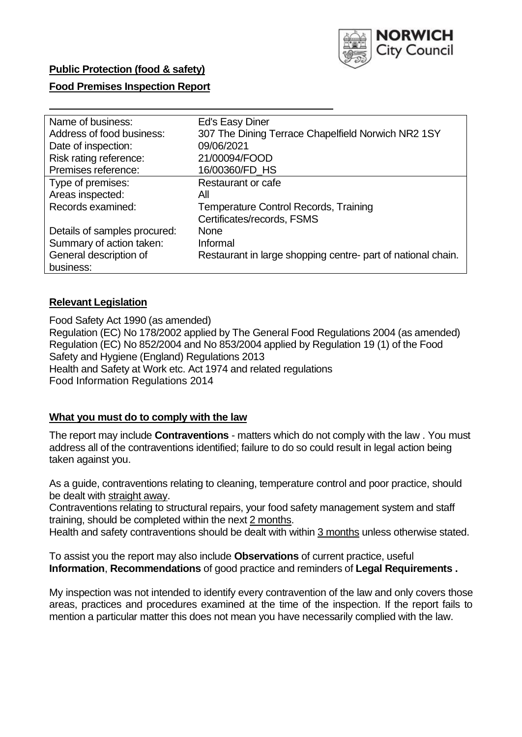

## **Public Protection (food & safety)**

### **Food Premises Inspection Report**

| Name of business:            | Ed's Easy Diner                                              |
|------------------------------|--------------------------------------------------------------|
| Address of food business:    | 307 The Dining Terrace Chapelfield Norwich NR2 1SY           |
| Date of inspection:          | 09/06/2021                                                   |
| Risk rating reference:       | 21/00094/FOOD                                                |
| Premises reference:          | 16/00360/FD_HS                                               |
| Type of premises:            | Restaurant or cafe                                           |
| Areas inspected:             | All                                                          |
| Records examined:            | <b>Temperature Control Records, Training</b>                 |
|                              | Certificates/records, FSMS                                   |
| Details of samples procured: | <b>None</b>                                                  |
| Summary of action taken:     | Informal                                                     |
| General description of       | Restaurant in large shopping centre- part of national chain. |
| business:                    |                                                              |

### **Relevant Legislation**

 Food Safety Act 1990 (as amended) Regulation (EC) No 178/2002 applied by The General Food Regulations 2004 (as amended) Regulation (EC) No 852/2004 and No 853/2004 applied by Regulation 19 (1) of the Food Safety and Hygiene (England) Regulations 2013 Health and Safety at Work etc. Act 1974 and related regulations Food Information Regulations 2014

### **What you must do to comply with the law**

 The report may include **Contraventions** - matters which do not comply with the law . You must address all of the contraventions identified; failure to do so could result in legal action being taken against you.

 As a guide, contraventions relating to cleaning, temperature control and poor practice, should be dealt with straight away.

 Contraventions relating to structural repairs, your food safety management system and staff training, should be completed within the next 2 months.

Health and safety contraventions should be dealt with within 3 months unless otherwise stated.

 To assist you the report may also include **Observations** of current practice, useful **Information**, **Recommendations** of good practice and reminders of **Legal Requirements .** 

 My inspection was not intended to identify every contravention of the law and only covers those areas, practices and procedures examined at the time of the inspection. If the report fails to mention a particular matter this does not mean you have necessarily complied with the law.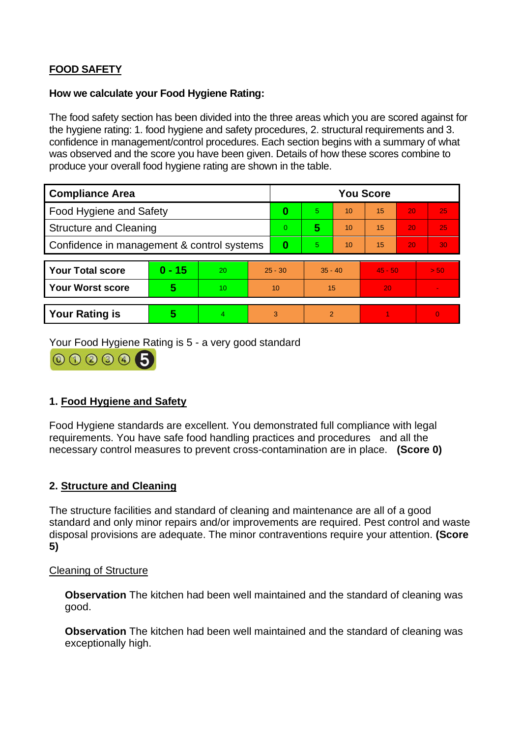# **FOOD SAFETY**

### **How we calculate your Food Hygiene Rating:**

 The food safety section has been divided into the three areas which you are scored against for the hygiene rating: 1. food hygiene and safety procedures, 2. structural requirements and 3. confidence in management/control procedures. Each section begins with a summary of what was observed and the score you have been given. Details of how these scores combine to produce your overall food hygiene rating are shown in the table.

| <b>Compliance Area</b>                     |          |                |                | <b>You Score</b> |                |    |           |    |                |  |  |
|--------------------------------------------|----------|----------------|----------------|------------------|----------------|----|-----------|----|----------------|--|--|
| <b>Food Hygiene and Safety</b>             |          |                | 0              | 5.               | 10             | 15 | 20        | 25 |                |  |  |
| <b>Structure and Cleaning</b>              |          |                | $\overline{0}$ | 5                | 10             | 15 | 20        | 25 |                |  |  |
| Confidence in management & control systems |          |                | $\bf{0}$       | 5                | 10             | 15 | 20        | 30 |                |  |  |
|                                            |          |                |                |                  |                |    |           |    |                |  |  |
| <b>Your Total score</b>                    | $0 - 15$ | 20             | $25 - 30$      |                  | $35 - 40$      |    | $45 - 50$ |    | > 50           |  |  |
| <b>Your Worst score</b>                    | 5        | 10             | 10             |                  | 15             |    | 20        |    |                |  |  |
|                                            |          |                |                |                  |                |    |           |    |                |  |  |
| <b>Your Rating is</b>                      | 5        | $\overline{4}$ | 3              |                  | $\overline{2}$ |    |           |    | $\overline{0}$ |  |  |

Your Food Hygiene Rating is 5 - a very good standard



# **1. Food Hygiene and Safety**

 requirements. You have safe food handling practices and procedures and all the Food Hygiene standards are excellent. You demonstrated full compliance with legal necessary control measures to prevent cross-contamination are in place. **(Score 0)** 

## **2. Structure and Cleaning**

The structure facilities and standard of cleaning and maintenance are all of a good standard and only minor repairs and/or improvements are required. Pest control and waste disposal provisions are adequate. The minor contraventions require your attention. **(Score 5)** 

### Cleaning of Structure

**Observation** The kitchen had been well maintained and the standard of cleaning was good.

**Observation** The kitchen had been well maintained and the standard of cleaning was exceptionally high.